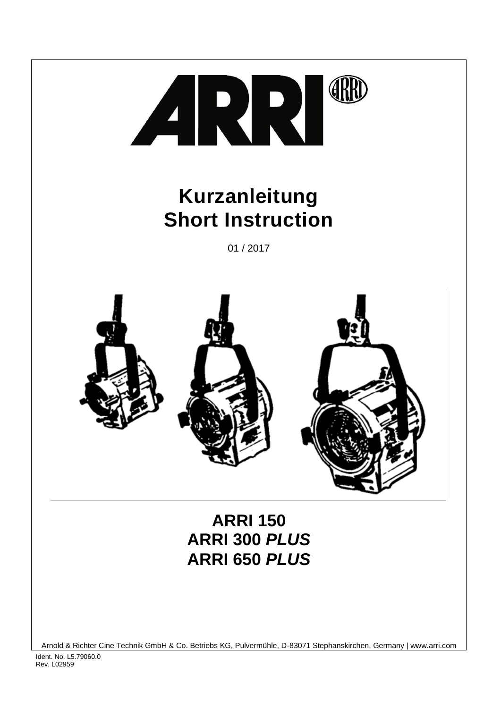

# **Kurzanleitung Short Instruction**

01 / 2017



Arnold & Richter Cine Technik GmbH & Co. Betriebs KG, Pulvermühle, D-83071 Stephanskirchen, Germany | www.arri.com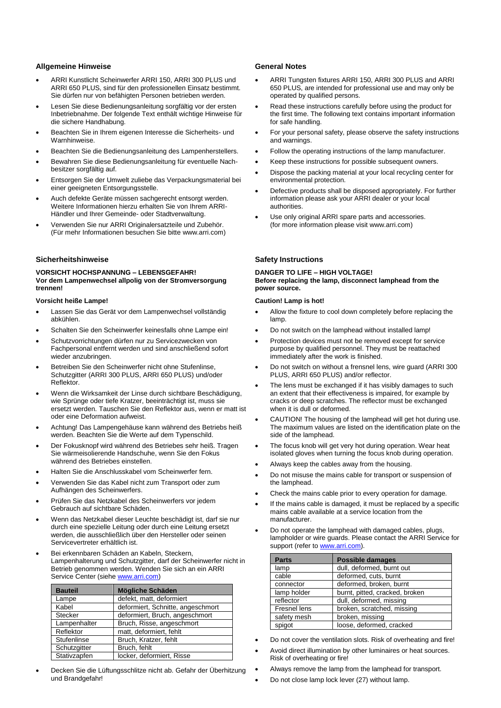# **Allgemeine Hinweise**

- ARRI Kunstlicht Scheinwerfer ARRI 150, ARRI 300 PLUS und ARRI 650 PLUS, sind für den professionellen Einsatz bestimmt. Sie dürfen nur von befähigten Personen betrieben werden.
- Lesen Sie diese Bedienungsanleitung sorgfältig vor der ersten Inbetriebnahme. Der folgende Text enthält wichtige Hinweise für die sichere Handhabung.
- Beachten Sie in Ihrem eigenen Interesse die Sicherheits- und Warnhinweise.
- Beachten Sie die Bedienungsanleitung des Lampenherstellers.
- Bewahren Sie diese Bedienungsanleitung für eventuelle Nachbesitzer sorgfältig auf.
- Entsorgen Sie der Umwelt zuliebe das Verpackungsmaterial bei einer geeigneten Entsorgungsstelle.
- Auch defekte Geräte müssen sachgerecht entsorgt werden. Weitere Informationen hierzu erhalten Sie von Ihrem ARRI-Händler und Ihrer Gemeinde- oder Stadtverwaltung.
- Verwenden Sie nur ARRI Originalersatzteile und Zubehör. (Für mehr Informationen besuchen Sie bitte www.arri.com)

# **Sicherheitshinweise**

# **VORSICHT HOCHSPANNUNG – LEBENSGEFAHR! Vor dem Lampenwechsel allpolig von der Stromversorgung trennen!**

# **Vorsicht heiße Lampe!**

- Lassen Sie das Gerät vor dem Lampenwechsel vollständig abkühlen.
- Schalten Sie den Scheinwerfer keinesfalls ohne Lampe ein!
- Schutzvorrichtungen dürfen nur zu Servicezwecken von Fachpersonal entfernt werden und sind anschließend sofort wieder anzubringen.
- Betreiben Sie den Scheinwerfer nicht ohne Stufenlinse, Schutzgitter (ARRI 300 PLUS, ARRI 650 PLUS) und/oder Reflektor.
- Wenn die Wirksamkeit der Linse durch sichtbare Beschädigung, wie Sprünge oder tiefe Kratzer, beeinträchtigt ist, muss sie ersetzt werden. Tauschen Sie den Reflektor aus, wenn er matt ist oder eine Deformation aufweist.
- Achtung! Das Lampengehäuse kann während des Betriebs heiß werden. Beachten Sie die Werte auf dem Typenschild.
- Der Fokusknopf wird während des Betriebes sehr heiß. Tragen Sie wärmeisolierende Handschuhe, wenn Sie den Fokus während des Betriebes einstellen.
- Halten Sie die Anschlusskabel vom Scheinwerfer fern.
- Verwenden Sie das Kabel nicht zum Transport oder zum Aufhängen des Scheinwerfers.
- Prüfen Sie das Netzkabel des Scheinwerfers vor jedem Gebrauch auf sichtbare Schäden.
- Wenn das Netzkabel dieser Leuchte beschädigt ist, darf sie nur durch eine spezielle Leitung oder durch eine Leitung ersetzt werden, die ausschließlich über den Hersteller oder seinen Servicevertreter erhältlich ist.
- Bei erkennbaren Schäden an Kabeln, Steckern, Lampenhalterung und Schutzgitter, darf der Scheinwerfer nicht in Betrieb genommen werden. Wenden Sie sich an ein ARRI Service Center (sieh[e www.arri.com\)](http://www.arri.com/)

| <b>Bauteil</b> | <b>Mögliche Schäden</b>           |  |  |
|----------------|-----------------------------------|--|--|
| Lampe          | defekt, matt, deformiert          |  |  |
| Kabel          | deformiert, Schnitte, angeschmort |  |  |
| <b>Stecker</b> | deformiert, Bruch, angeschmort    |  |  |
| Lampenhalter   | Bruch, Risse, angeschmort         |  |  |
| Reflektor      | matt, deformiert, fehlt           |  |  |
| Stufenlinse    | Bruch, Kratzer, fehlt             |  |  |
| Schutzgitter   | Bruch, fehlt                      |  |  |
| Stativzapfen   | locker, deformiert, Risse         |  |  |

 Decken Sie die Lüftungsschlitze nicht ab. Gefahr der Überhitzung und Brandgefahr!

# **General Notes**

- ARRI Tungsten fixtures ARRI 150, ARRI 300 PLUS and ARRI 650 PLUS, are intended for professional use and may only be operated by qualified persons.
- Read these instructions carefully before using the product for the first time. The following text contains important information for safe handling.
- For your personal safety, please observe the safety instructions and warnings.
- Follow the operating instructions of the lamp manufacturer.
- Keep these instructions for possible subsequent owners.
- Dispose the packing material at your local recycling center for environmental protection.
- Defective products shall be disposed appropriately. For further information please ask your ARRI dealer or your local authorities.
- Use only original ARRI spare parts and accessories. (for more information please visit www.arri.com)

# **Safety Instructions**

### **DANGER TO LIFE – HIGH VOLTAGE! Before replacing the lamp, disconnect lamphead from the power source.**

# **Caution! Lamp is hot!**

- Allow the fixture to cool down completely before replacing the lamp.
- Do not switch on the lamphead without installed lamp!
- Protection devices must not be removed except for service purpose by qualified personnel. They must be reattached immediately after the work is finished.
- Do not switch on without a frensnel lens, wire guard (ARRI 300 PLUS, ARRI 650 PLUS) and/or reflector.
- The lens must be exchanged if it has visibly damages to such an extent that their effectiveness is impaired, for example by cracks or deep scratches. The reflector must be exchanged when it is dull or deformed.
- TION! The housing of the lamphead will get hot during use. The maximum values are listed on the identification plate on the side of the lamphead.
- The focus knob will get very hot during operation. Wear heat isolated gloves when turning the focus knob during operation.
- Always keep the cables away from the housing.
- Do not misuse the mains cable for transport or suspension of the lamphead.
- Check the mains cable prior to every operation for damage.
- If the mains cable is damaged, it must be replaced by a specific mains cable available at a service location from the manufacturer.
- Do not operate the lamphead with damaged cables, plugs, lampholder or wire guards. Please contact the ARRI Service for support (refer t[o www.arri.com\)](http://www.arri.com/).

| <b>Parts</b> | <b>Possible damages</b>        |
|--------------|--------------------------------|
| lamp         | dull, deformed, burnt out      |
| cable        | deformed, cuts, burnt          |
| connector    | deformed, broken, burnt        |
| lamp holder  | burnt, pitted, cracked, broken |
| reflector    | dull, deformed, missing        |
| Fresnel lens | broken, scratched, missing     |
| safety mesh  | broken, missing                |
| spigot       | loose, deformed, cracked       |

- Do not cover the ventilation slots. Risk of overheating and fire!
- Avoid direct illumination by other luminaires or heat sources. Risk of overheating or fire!
- Always remove the lamp from the lamphead for transport.
- Do not close lamp lock lever (27) without lamp.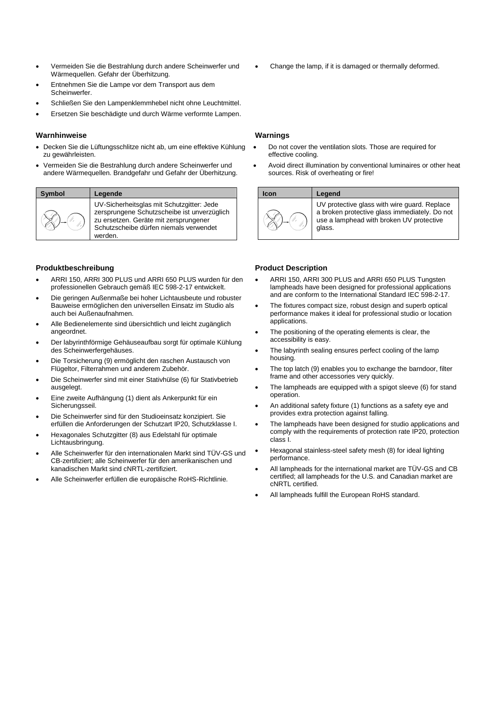- Vermeiden Sie die Bestrahlung durch andere Scheinwerfer und Wärmequellen. Gefahr der Überhitzung.
- Entnehmen Sie die Lampe vor dem Transport aus dem Scheinwerfer.
- Schließen Sie den Lampenklemmhebel nicht ohne Leuchtmittel.
- Ersetzen Sie beschädigte und durch Wärme verformte Lampen.

### **Warnhinweise**

- Decken Sie die Lüftungsschlitze nicht ab, um eine effektive Kühlung zu gewährleisten.
- Vermeiden Sie die Bestrahlung durch andere Scheinwerfer und andere Wärmequellen. Brandgefahr und Gefahr der Überhitzung.



UV-Sicherheitsglas mit Schutzgitter: Jede zersprungene Schutzscheibe ist unverzüglich zu ersetzen. Geräte mit zersprungener Schutzscheibe dürfen niemals verwendet werden.

### **Produktbeschreibung**

- ARRI 150, ARRI 300 PLUS und ARRI 650 PLUS wurden für den professionellen Gebrauch gemäß IEC 598-2-17 entwickelt.
- Die geringen Außenmaße bei hoher Lichtausbeute und robuster Bauweise ermöglichen den universellen Einsatz im Studio als auch bei Außenaufnahmen.
- Alle Bedienelemente sind übersichtlich und leicht zugänglich angeordnet.
- Der labyrinthförmige Gehäuseaufbau sorgt für optimale Kühlung des Scheinwerfergehäuses.
- Die Torsicherung (9) ermöglicht den raschen Austausch von Flügeltor, Filterrahmen und anderem Zubehör.
- Die Scheinwerfer sind mit einer Stativhülse (6) für Stativbetrieb ausgelegt.
- Eine zweite Aufhängung (1) dient als Ankerpunkt für ein Sicherungsseil.
- Die Scheinwerfer sind für den Studioeinsatz konzipiert. Sie erfüllen die Anforderungen der Schutzart IP20, Schutzklasse I.
- Hexagonales Schutzgitter (8) aus Edelstahl für optimale Lichtausbringung.
- Alle Scheinwerfer für den internationalen Markt sind TÜV-GS und CB-zertifiziert; alle Scheinwerfer für den amerikanischen und kanadischen Markt sind cNRTL-zertifiziert.
- Alle Scheinwerfer erfüllen die europäische RoHS-Richtlinie.

Change the lamp, if it is damaged or thermally deformed.

# **Warnings**

- Do not cover the ventilation slots. Those are required for effective cooling.
- Avoid direct illumination by conventional luminaires or other heat sources. Risk of overheating or fire!

| Icon | Legend                                                                                                                                              |
|------|-----------------------------------------------------------------------------------------------------------------------------------------------------|
|      | UV protective glass with wire guard. Replace<br>a broken protective glass immediately. Do not<br>use a lamphead with broken UV protective<br>glass. |

# **Product Description**

- ARRI 150, ARRI 300 PLUS and ARRI 650 PLUS Tungsten lampheads have been designed for professional applications and are conform to the International Standard IEC 598-2-17.
- The fixtures compact size, robust design and superb optical performance makes it ideal for professional studio or location applications.
- The positioning of the operating elements is clear, the accessibility is easy.
- The labyrinth sealing ensures perfect cooling of the lamp housing.
- The top latch (9) enables you to exchange the barndoor, filter frame and other accessories very quickly.
- The lampheads are equipped with a spigot sleeve (6) for stand operation.
- An additional safety fixture (1) functions as a safety eye and provides extra protection against falling.
- The lampheads have been designed for studio applications and comply with the requirements of protection rate IP20, protection class I.
- Hexagonal stainless-steel safety mesh (8) for ideal lighting performance.
- All lampheads for the international market are TÜV-GS and CB certified; all lampheads for the U.S. and Canadian market are cNRTL certified.
- All lampheads fulfill the European RoHS standard.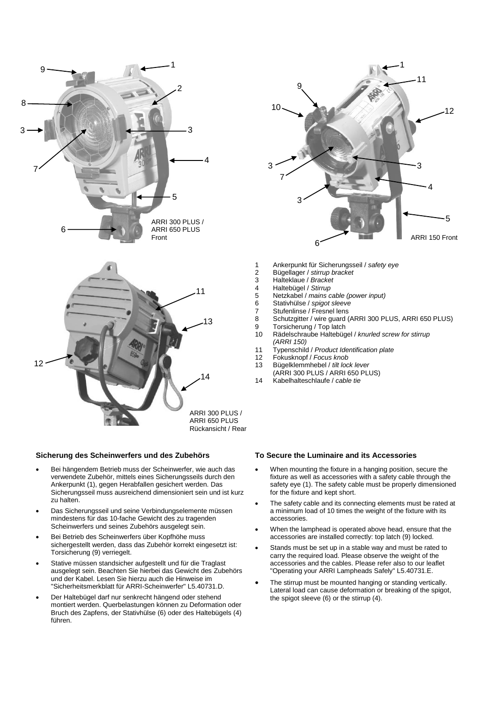

# **Sicherung des Scheinwerfers und des Zubehörs**

- Bei hängendem Betrieb muss der Scheinwerfer, wie auch das verwendete Zubehör, mittels eines Sicherungsseils durch den Ankerpunkt (1), gegen Herabfallen gesichert werden. Das Sicherungsseil muss ausreichend dimensioniert sein und ist kurz zu halten.
- Das Sicherungsseil und seine Verbindungselemente müssen mindestens für das 10-fache Gewicht des zu tragenden Scheinwerfers und seines Zubehörs ausgelegt sein.
- Bei Betrieb des Scheinwerfers über Kopfhöhe muss sichergestellt werden, dass das Zubehör korrekt eingesetzt ist: Torsicherung (9) verriegelt.
- Stative müssen standsicher aufgestellt und für die Traglast ausgelegt sein. Beachten Sie hierbei das Gewicht des Zubehörs und der Kabel. Lesen Sie hierzu auch die Hinweise im "Sicherheitsmerkblatt für ARRI-Scheinwerfer" L5.40731.D.
- Der Haltebügel darf nur senkrecht hängend oder stehend montiert werden. Querbelastungen können zu Deformation oder Bruch des Zapfens, der Stativhülse (6) oder des Haltebügels (4) führen.



- 1 Ankerpunkt für Sicherungsseil / *safety eye*
- 2 Bügellager / *stirrup bracket*
- 3 Halteklaue / *Bracket*
- 4 Haltebügel / *Stirrup*
- 5 Netzkabel / *mains cable (power input)*
- 6 Stativhülse / *spigot sleeve*
- 7 Stufenlinse / Fresnel lens<br>8 Schutzgitter / wire guard (
- 8 Schutzgitter / wire guard (ARRI 300 PLUS, ARRI 650 PLUS)
- 9 Torsicherung / Top latch
- 10 Rädelschraube Haltebügel / *knurled screw for stirrup (ARRI 150)*
- 11 Typenschild / *Product Identification plate*
- 12 Fokusknopf / *Focus knob*
- 13 Bügelklemmhebel / *tilt lock lever*
- (ARRI 300 PLUS / ARRI 650 PLUS) 14 Kabelhalteschlaufe / *cable tie*

# **To Secure the Luminaire and its Accessories**

- When mounting the fixture in a hanging position, secure the fixture as well as accessories with a safety cable through the safety eye (1). The safety cable must be properly dimensioned for the fixture and kept short.
- The safety cable and its connecting elements must be rated at a minimum load of 10 times the weight of the fixture with its accessories.
- When the lamphead is operated above head, ensure that the accessories are installed correctly: top latch (9) locked.
- Stands must be set up in a stable way and must be rated to carry the required load. Please observe the weight of the accessories and the cables. Please refer also to our leaflet "Operating your ARRI Lampheads Safely" L5.40731.E.
- The stirrup must be mounted hanging or standing vertically. Lateral load can cause deformation or breaking of the spigot, the spigot sleeve (6) or the stirrup (4).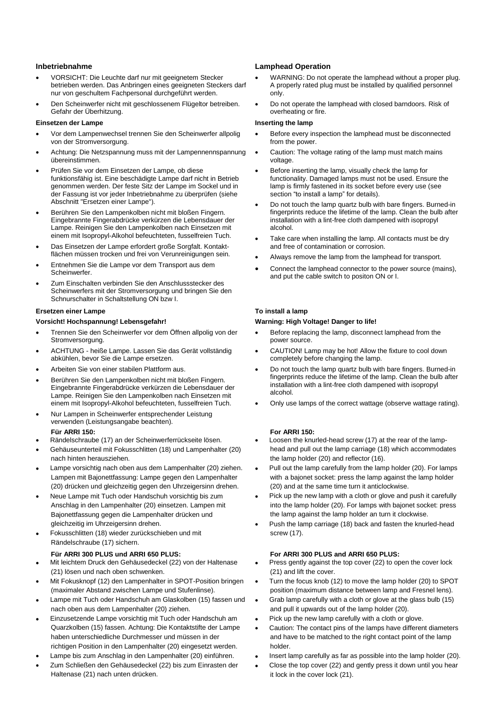# **Inbetriebnahme**

- VORSICHT: Die Leuchte darf nur mit geeignetem Stecker betrieben werden. Das Anbringen eines geeigneten Steckers darf nur von geschultem Fachpersonal durchgeführt werden.
- Den Scheinwerfer nicht mit geschlossenem Flügeltor betreiben. Gefahr der Überhitzung.

# **Einsetzen der Lampe**

- Vor dem Lampenwechsel trennen Sie den Scheinwerfer allpolig von der Stromversorgung.
- Achtung: Die Netzspannung muss mit der Lampennennspannung übereinstimmen.
- Prüfen Sie vor dem Einsetzen der Lampe, ob diese funktionsfähig ist. Eine beschädigte Lampe darf nicht in Betrieb genommen werden. Der feste Sitz der Lampe im Sockel und in der Fassung ist vor jeder Inbetriebnahme zu überprüfen (siehe Abschnitt "Ersetzen einer Lampe").
- Berühren Sie den Lampenkolben nicht mit bloßen Fingern. Eingebrannte Fingerabdrücke verkürzen die Lebensdauer der Lampe. Reinigen Sie den Lampenkolben nach Einsetzen mit einem mit Isopropyl-Alkohol befeuchteten, fusselfreien Tuch.
- Das Einsetzen der Lampe erfordert große Sorgfalt. Kontaktflächen müssen trocken und frei von Verunreinigungen sein.
- Entnehmen Sie die Lampe vor dem Transport aus dem Scheinwerfer.
- Zum Einschalten verbinden Sie den Anschlussstecker des Scheinwerfers mit der Stromversorgung und bringen Sie den Schnurschalter in Schaltstellung ON bzw I.

# **Ersetzen einer Lampe**

# **Vorsicht! Hochspannung! Lebensgefahr!**

- Trennen Sie den Scheinwerfer vor dem Öffnen allpolig von der Stromversorgung.
- ACHTUNG heiße Lampe. Lassen Sie das Gerät vollständig abkühlen, bevor Sie die Lampe ersetzen.
- Arbeiten Sie von einer stabilen Plattform aus.
- Berühren Sie den Lampenkolben nicht mit bloßen Fingern. Eingebrannte Fingerabdrücke verkürzen die Lebensdauer der Lampe. Reinigen Sie den Lampenkolben nach Einsetzen mit einem mit Isopropyl-Alkohol befeuchteten, fusselfreien Tuch.
- Nur Lampen in Scheinwerfer entsprechender Leistung verwenden (Leistungsangabe beachten). **Für ARRI 150:**
- Rändelschraube (17) an der Scheinwerferrückseite lösen.
- Gehäuseunterteil mit Fokusschlitten (18) und Lampenhalter (20) nach hinten herausziehen.
- Lampe vorsichtig nach oben aus dem Lampenhalter (20) ziehen. Lampen mit Bajonettfassung: Lampe gegen den Lampenhalter (20) drücken und gleichzeitig gegen den Uhrzeigersinn drehen.
- Neue Lampe mit Tuch oder Handschuh vorsichtig bis zum Anschlag in den Lampenhalter (20) einsetzen. Lampen mit Bajonettfassung gegen die Lampenhalter drücken und gleichzeitig im Uhrzeigersinn drehen.
- Fokusschlitten (18) wieder zurückschieben und mit Rändelschraube (17) sichern.

# **Für ARRI 300 PLUS und ARRI 650 PLUS:**

- Mit leichtem Druck den Gehäusedeckel (22) von der Haltenase (21) lösen und nach oben schwenken.
- Mit Fokusknopf (12) den Lampenhalter in SPOT-Position bringen (maximaler Abstand zwischen Lampe und Stufenlinse).
- Lampe mit Tuch oder Handschuh am Glaskolben (15) fassen und nach oben aus dem Lampenhalter (20) ziehen.
- Einzusetzende Lampe vorsichtig mit Tuch oder Handschuh am Quarzkolben (15) fassen. Achtung: Die Kontaktstifte der Lampe haben unterschiedliche Durchmesser und müssen in der richtigen Position in den Lampenhalter (20) eingesetzt werden.
- Lampe bis zum Anschlag in den Lampenhalter (20) einführen.
- Zum Schließen den Gehäusedeckel (22) bis zum Einrasten der Haltenase (21) nach unten drücken.

# **Lamphead Operation**

- WARNING: Do not operate the lamphead without a proper plug. A properly rated plug must be installed by qualified personnel only.
- Do not operate the lamphead with closed barndoors. Risk of overheating or fire.

# **Inserting the lamp**

- Before every inspection the lamphead must be disconnected from the power.
- Caution: The voltage rating of the lamp must match mains voltage.
- Before inserting the lamp, visually check the lamp for functionality. Damaged lamps must not be used. Ensure the lamp is firmly fastened in its socket before every use (see section "to install a lamp" for details).
- Do not touch the lamp quartz bulb with bare fingers. Burned-in fingerprints reduce the lifetime of the lamp. Clean the bulb after installation with a lint-free cloth dampened with isopropyl alcohol.
- Take care when installing the lamp. All contacts must be dry and free of contamination or corrosion.
- Always remove the lamp from the lamphead for transport.
- Connect the lamphead connector to the power source (mains), and put the cable switch to positon ON or I.

# **To install a lamp**

# **Warning: High Voltage! Danger to life!**

- Before replacing the lamp, disconnect lamphead from the power source.
- CAUTION! Lamp may be hot! Allow the fixture to cool down completely before changing the lamp.
- Do not touch the lamp quartz bulb with bare fingers. Burned-in fingerprints reduce the lifetime of the lamp. Clean the bulb after installation with a lint-free cloth dampened with isopropyl alcohol.
- Only use lamps of the correct wattage (observe wattage rating).

# **For ARRI 150:**

- Loosen the knurled-head screw (17) at the rear of the lamphead and pull out the lamp carriage (18) which accommodates the lamp holder (20) and reflector (16).
- Pull out the lamp carefully from the lamp holder (20). For lamps with a bajonet socket: press the lamp against the lamp holder (20) and at the same time turn it anticlockwise.
- Pick up the new lamp with a cloth or glove and push it carefully into the lamp holder (20). For lamps with bajonet socket: press the lamp against the lamp holder an turn it clockwise.
- Push the lamp carriage (18) back and fasten the knurled-head screw (17).

# **For ARRI 300 PLUS and ARRI 650 PLUS:**

- Press gently against the top cover (22) to open the cover lock (21) and lift the cover.
- Turn the focus knob (12) to move the lamp holder (20) to SPOT position (maximum distance between lamp and Fresnel lens).
- Grab lamp carefully with a cloth or glove at the glass bulb (15) and pull it upwards out of the lamp holder (20).
- Pick up the new lamp carefully with a cloth or glove.
- Caution: The contact pins of the lamps have different diameters and have to be matched to the right contact point of the lamp holder.
- Insert lamp carefully as far as possible into the lamp holder (20).
- Close the top cover (22) and gently press it down until you hear it lock in the cover lock (21).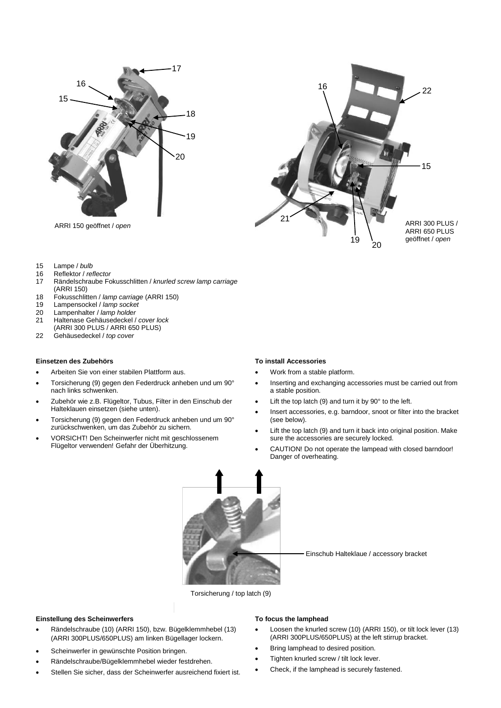



- 
- 15 Lampe / *bulb*
- 
- 16 Reflektor / *reflector* 17 Rändelschraube Fokusschlitten / *knurled screw lamp carriage*  (ARRI 150)
- 18 Fokusschlitten / *lamp carriage* (ARRI 150)
- 19 Lampensockel / *lamp socket*
- Lampenhalter / *lamp holder*
- 21 Haltenase Gehäusedeckel / *cover lock*
- (ARRI 300 PLUS / ARRI 650 PLUS)
- 22 Gehäusedeckel / *top cover*

### **Einsetzen des Zubehörs**

- Arbeiten Sie von einer stabilen Plattform aus.
- Torsicherung (9) gegen den Federdruck anheben und um 90° nach links schwenken.
- Zubehör wie z.B. Flügeltor, Tubus, Filter in den Einschub der Halteklauen einsetzen (siehe unten).
- Torsicherung (9) gegen den Federdruck anheben und um 90° zurückschwenken, um das Zubehör zu sichern.
- VORSICHT! Den Scheinwerfer nicht mit geschlossenem Flügeltor verwenden! Gefahr der Überhitzung.

#### **To install Accessories**

- Work from a stable platform.
- Inserting and exchanging accessories must be carried out from a stable position.
- Lift the top latch (9) and turn it by 90° to the left.
- Insert accessories, e.g. barndoor, snoot or filter into the bracket (see below).
- Lift the top latch (9) and turn it back into original position. Make sure the accessories are securely locked.
- CAUTION! Do not operate the lampead with closed barndoor! Danger of overheating.



Einschub Halteklaue / accessory bracket

Torsicherung / top latch (9)

#### **Einstellung des Scheinwerfers**

- Rändelschraube (10) (ARRI 150), bzw. Bügelklemmhebel (13) (ARRI 300PLUS/650PLUS) am linken Bügellager lockern.
- Scheinwerfer in gewünschte Position bringen.
- Rändelschraube/Bügelklemmhebel wieder festdrehen.
- Stellen Sie sicher, dass der Scheinwerfer ausreichend fixiert ist.

# **To focus the lamphead**

- Loosen the knurled screw (10) (ARRI 150), or tilt lock lever (13) (ARRI 300PLUS/650PLUS) at the left stirrup bracket.
- Bring lamphead to desired position.
- Tighten knurled screw / tilt lock lever.
- Check, if the lamphead is securely fastened.